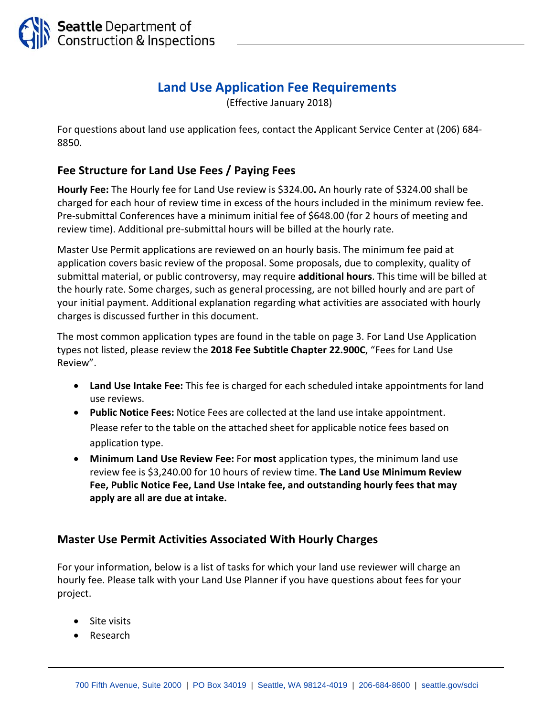

## **Land Use Application Fee Requirements**

(Effective January 2018)

For questions about land use application fees, contact the Applicant Service Center at (206) 684‐ 8850.

## **Fee Structure for Land Use Fees / Paying Fees**

**Hourly Fee:** The Hourly fee for Land Use review is \$324.00**.** An hourly rate of \$324.00 shall be charged for each hour of review time in excess of the hours included in the minimum review fee. Pre‐submittal Conferences have a minimum initial fee of \$648.00 (for 2 hours of meeting and review time). Additional pre‐submittal hours will be billed at the hourly rate.

Master Use Permit applications are reviewed on an hourly basis. The minimum fee paid at application covers basic review of the proposal. Some proposals, due to complexity, quality of submittal material, or public controversy, may require **additional hours**. This time will be billed at the hourly rate. Some charges, such as general processing, are not billed hourly and are part of your initial payment. Additional explanation regarding what activities are associated with hourly charges is discussed further in this document.

The most common application types are found in the table on page 3. For Land Use Application types not listed, please review the **2018 Fee Subtitle Chapter 22.900C**, "Fees for Land Use Review".

- **Land Use Intake Fee:** This fee is charged for each scheduled intake appointments for land use reviews.
- **Public Notice Fees:** Notice Fees are collected at the land use intake appointment. Please refer to the table on the attached sheet for applicable notice fees based on application type.
- **Minimum Land Use Review Fee:** For **most** application types, the minimum land use review fee is \$3,240.00 for 10 hours of review time. **The Land Use Minimum Review Fee, Public Notice Fee, Land Use Intake fee, and outstanding hourly fees that may apply are all are due at intake.**

## **Master Use Permit Activities Associated With Hourly Charges**

For your information, below is a list of tasks for which your land use reviewer will charge an hourly fee. Please talk with your Land Use Planner if you have questions about fees for your project.

- Site visits
- Research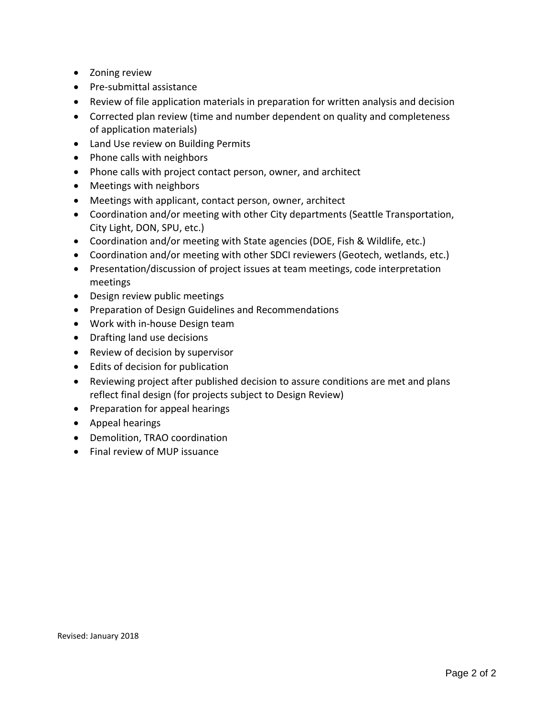- Zoning review
- Pre-submittal assistance
- Review of file application materials in preparation for written analysis and decision
- Corrected plan review (time and number dependent on quality and completeness of application materials)
- Land Use review on Building Permits
- Phone calls with neighbors
- Phone calls with project contact person, owner, and architect
- Meetings with neighbors
- Meetings with applicant, contact person, owner, architect
- Coordination and/or meeting with other City departments (Seattle Transportation, City Light, DON, SPU, etc.)
- Coordination and/or meeting with State agencies (DOE, Fish & Wildlife, etc.)
- Coordination and/or meeting with other SDCI reviewers (Geotech, wetlands, etc.)
- Presentation/discussion of project issues at team meetings, code interpretation meetings
- Design review public meetings
- **•** Preparation of Design Guidelines and Recommendations
- Work with in-house Design team
- Drafting land use decisions
- Review of decision by supervisor
- Edits of decision for publication
- Reviewing project after published decision to assure conditions are met and plans reflect final design (for projects subject to Design Review)
- Preparation for appeal hearings
- Appeal hearings
- Demolition, TRAO coordination
- Final review of MUP issuance